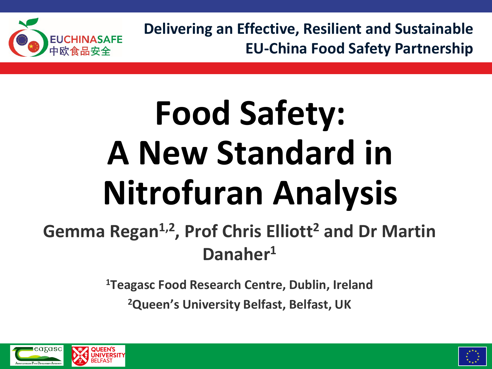

**Delivering an Effective, Resilient and Sustainable EU-China Food Safety Partnership** 

# **Food Safety: A New Standard in Nitrofuran Analysis**

#### Gemma Regan<sup>1,2</sup>, Prof Chris Elliott<sup>2</sup> and Dr Martin **Danaher1**

**1Teagasc Food Research Centre, Dublin, Ireland**

**2Queen's University Belfast, Belfast, UK**



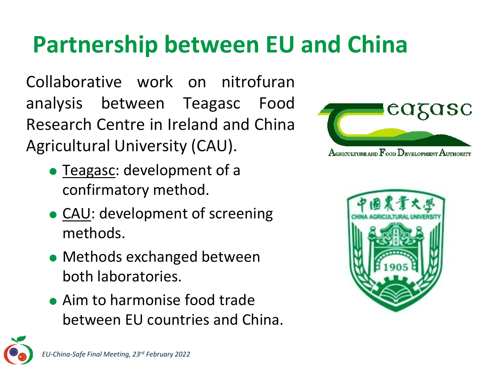#### **Partnership between EU and China**

Collaborative work on nitrofuran analysis between Teagasc Food Research Centre in Ireland and China Agricultural University (CAU).

- Teagasc: development of a confirmatory method.
- CAU: development of screening methods.
- Methods exchanged between both laboratories.
- Aim to harmonise food trade between EU countries and China.





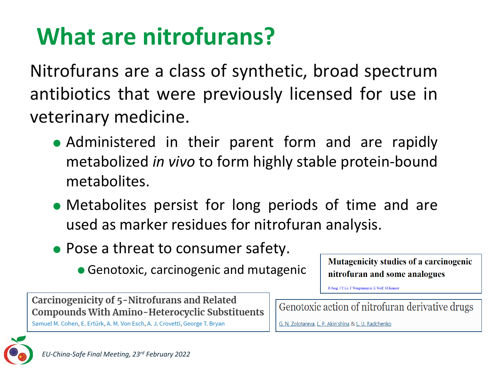## **What are nitrofurans?**

Nitrofurans are a class of synthetic, broad spectrum antibiotics that were previously licensed for use in veterinary medicine.

- Administered in their parent form and are rapidly metabolized *in vivo* to form highly stable protein-bound metabolites.
- Metabolites persist for long periods of time and are used as marker residues for nitrofuran analysis.
- Pose a threat to consumer safety.
	- Genotoxic, carcinogenic and mutagenic

Mutagenicity studies of a carcinogenic nitrofuran and some analogues

R Jung, J Y Le, F Wengenmayer, E Wolf, M Kramer

Carcinogenicity of 5-Nitrofurans and Related **Compounds With Amino-Heterocyclic Substituents** 

Samuel M. Cohen, E. Ertürk, A. M. Von Esch, A. J. Crovetti, George T. Bryan

Genotoxic action of nitrofuran derivative drugs

G. N. Zolotareva, L. P. Akin'shina & L. U. Radchenko

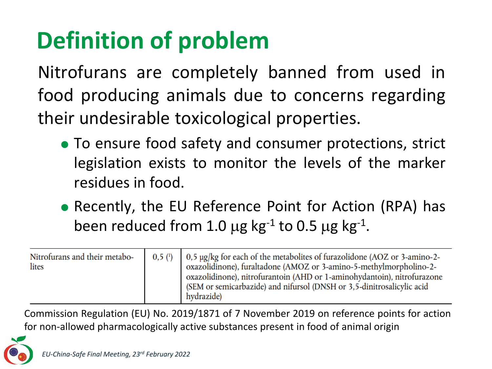## **Definition of problem**

Nitrofurans are completely banned from used in food producing animals due to concerns regarding their undesirable toxicological properties.

- To ensure food safety and consumer protections, strict legislation exists to monitor the levels of the marker residues in food.
- Recently, the EU Reference Point for Action (RPA) has been reduced from 1.0  $\mu$ g kg<sup>-1</sup> to 0.5  $\mu$ g kg<sup>-1</sup>.

| Nitrofurans and their metabo-<br>lites | 0.5() | $\vert$ 0.5 µg/kg for each of the metabolites of furazolidone (AOZ or 3-amino-2-<br>oxazolidinone), furaltadone (AMOZ or 3-amino-5-methylmorpholino-2-<br>oxazolidinone), nitrofurantoin (AHD or 1-aminohydantoin), nitrofurazone<br>(SEM or semicarbazide) and nifursol (DNSH or 3,5-dinitrosalicylic acid<br>hydrazide) |
|----------------------------------------|-------|---------------------------------------------------------------------------------------------------------------------------------------------------------------------------------------------------------------------------------------------------------------------------------------------------------------------------|
|----------------------------------------|-------|---------------------------------------------------------------------------------------------------------------------------------------------------------------------------------------------------------------------------------------------------------------------------------------------------------------------------|

Commission Regulation (EU) No. 2019/1871 of 7 November 2019 on reference points for action for non-allowed pharmacologically active substances present in food of animal origin

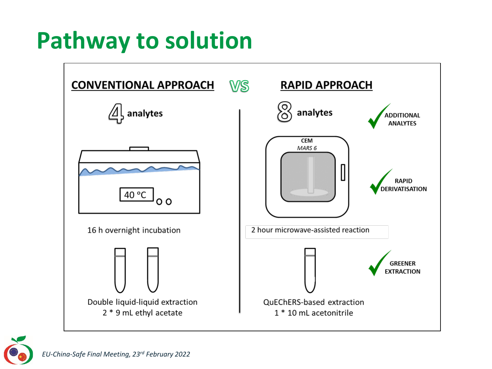#### **Pathway to solution**



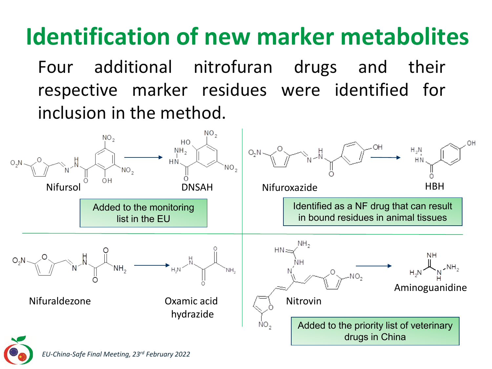## **Identification of new marker metabolites**

Four additional nitrofuran drugs and their respective marker residues were identified for inclusion in the method.

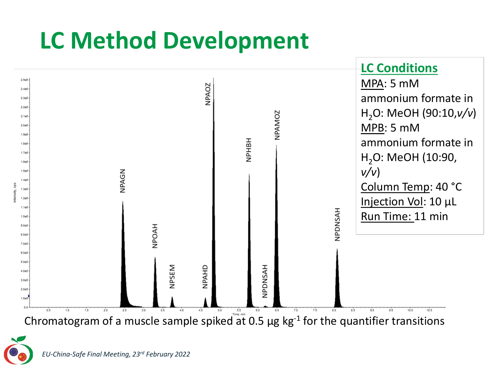#### **LC Method Development**





*EU-China-Safe Final Meeting, 23rd February 2022*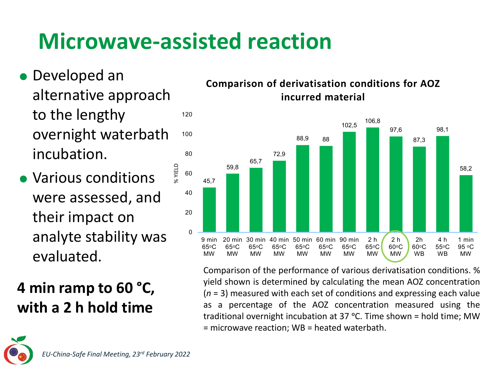#### **Microwave-assisted reaction**

- 120 Developed an alternative approach to the lengthy overnight waterbath incubation.
- % YIELD • Various conditions were assessed, and their impact on analyte stability was evaluated.

#### **4 min ramp to 60 °C, with a 2 h hold time**

#### **Comparison of derivatisation conditions for AOZ incurred material**



Comparison of the performance of various derivatisation conditions. % yield shown is determined by calculating the mean AOZ concentration (*n* = 3) measured with each set of conditions and expressing each value as a percentage of the AOZ concentration measured using the traditional overnight incubation at 37  $^{\circ}$ C. Time shown = hold time; MW = microwave reaction; WB = heated waterbath.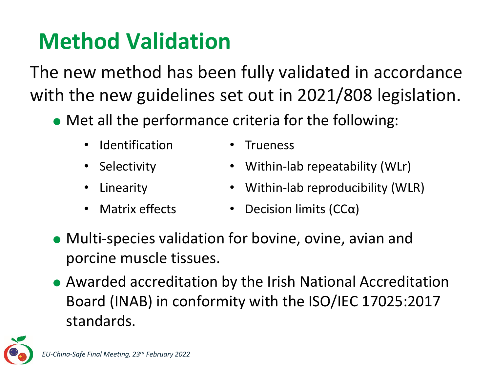#### **Method Validation**

The new method has been fully validated in accordance with the new guidelines set out in 2021/808 legislation.

- Met all the performance criteria for the following:
	- Identification Trueness
	-
	-
	-
- 
- Selectivity Within-lab repeatability (WLr)
	- Linearity Within-lab reproducibility (WLR)
	- Matrix effects Decision limits  $(CC\alpha)$
- Multi-species validation for bovine, ovine, avian and porcine muscle tissues.
- Awarded accreditation by the Irish National Accreditation Board (INAB) in conformity with the ISO/IEC 17025:2017 standards.

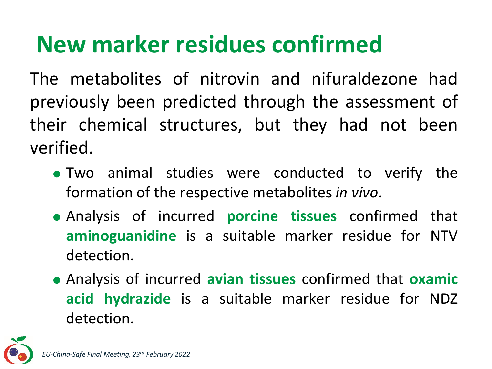#### **New marker residues confirmed**

The metabolites of nitrovin and nifuraldezone had previously been predicted through the assessment of their chemical structures, but they had not been verified.

- Two animal studies were conducted to verify the formation of the respective metabolites *in vivo*.
- Analysis of incurred **porcine tissues** confirmed that **aminoguanidine** is a suitable marker residue for NTV detection.
- Analysis of incurred **avian tissues** confirmed that **oxamic acid hydrazide** is a suitable marker residue for NDZ detection.

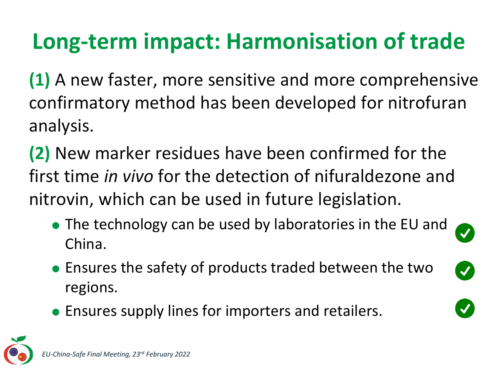#### **Long-term impact: Harmonisation of trade**

**(1)** A new faster, more sensitive and more comprehensive confirmatory method has been developed for nitrofuran analysis.

**(2)** New marker residues have been confirmed for the first time *in vivo* for the detection of nifuraldezone and nitrovin, which can be used in future legislation.

• The technology can be used by laboratories in the EU and China.

 $\blacktriangledown$ 

- Ensures the safety of products traded between the two regions.
- Ensures supply lines for importers and retailers.